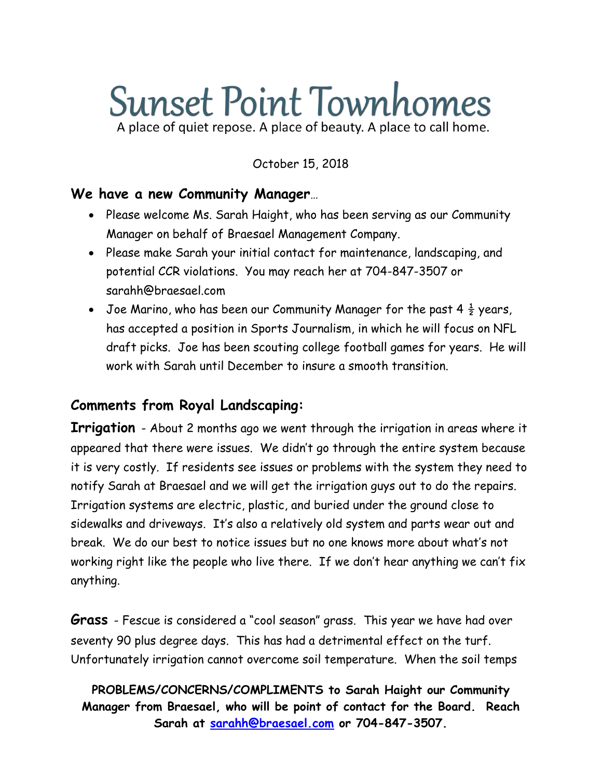# **Sunset Point Townhomes** A place of quiet repose. A place of beauty. A place to call home.

October 15, 2018

#### **We have a new Community Manager**…

- Please welcome Ms. Sarah Haight, who has been serving as our Community Manager on behalf of Braesael Management Company.
- Please make Sarah your initial contact for maintenance, landscaping, and potential CCR violations. You may reach her at 704-847-3507 or sarahh@braesael.com
- Joe Marino, who has been our Community Manager for the past 4  $\frac{1}{2}$  years, has accepted a position in Sports Journalism, in which he will focus on NFL draft picks. Joe has been scouting college football games for years. He will work with Sarah until December to insure a smooth transition.

### **Comments from Royal Landscaping:**

**Irrigation** - About 2 months ago we went through the irrigation in areas where it appeared that there were issues. We didn't go through the entire system because it is very costly. If residents see issues or problems with the system they need to notify Sarah at Braesael and we will get the irrigation guys out to do the repairs. Irrigation systems are electric, plastic, and buried under the ground close to sidewalks and driveways. It's also a relatively old system and parts wear out and break. We do our best to notice issues but no one knows more about what's not working right like the people who live there. If we don't hear anything we can't fix anything.

**Grass** - Fescue is considered a "cool season" grass. This year we have had over seventy 90 plus degree days. This has had a detrimental effect on the turf. Unfortunately irrigation cannot overcome soil temperature. When the soil temps

**PROBLEMS/CONCERNS/COMPLIMENTS to Sarah Haight our Community Manager from Braesael, who will be point of contact for the Board. Reach Sarah at [sarahh@braesael.com](mailto:sarahh@braesael.com) or 704-847-3507.**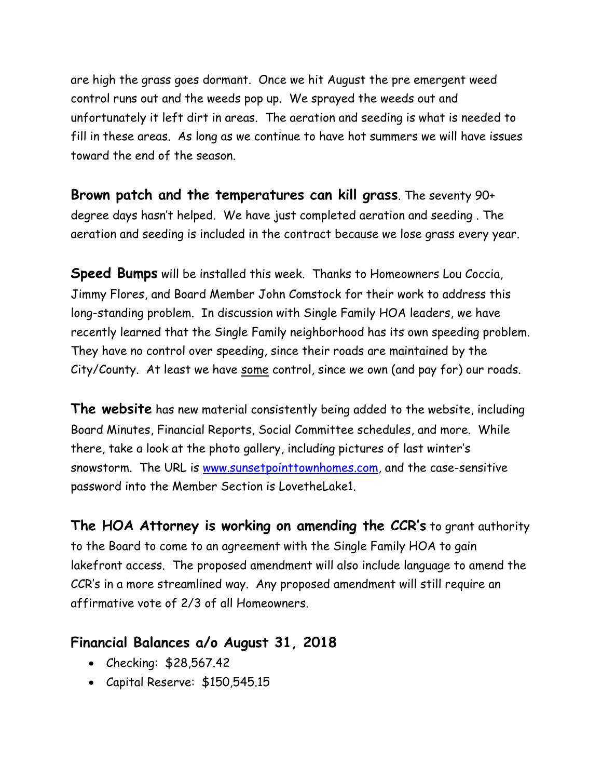are high the grass goes dormant. Once we hit August the pre emergent weed control runs out and the weeds pop up. We sprayed the weeds out and unfortunately it left dirt in areas. The aeration and seeding is what is needed to fill in these areas. As long as we continue to have hot summers we will have issues toward the end of the season.

**Brown patch and the temperatures can kill grass**. The seventy 90+ degree days hasn't helped. We have just completed aeration and seeding . The aeration and seeding is included in the contract because we lose grass every year.

**Speed Bumps** will be installed this week. Thanks to Homeowners Lou Coccia, Jimmy Flores, and Board Member John Comstock for their work to address this long-standing problem. In discussion with Single Family HOA leaders, we have recently learned that the Single Family neighborhood has its own speeding problem. They have no control over speeding, since their roads are maintained by the City/County. At least we have some control, since we own (and pay for) our roads.

**The website** has new material consistently being added to the website, including Board Minutes, Financial Reports, Social Committee schedules, and more. While there, take a look at the photo gallery, including pictures of last winter's snowstorm. The URL is [www.sunsetpointtownhomes.com,](http://www.sunsetpointtownhomes.com/) and the case-sensitive password into the Member Section is LovetheLake1.

**The HOA Attorney is working on amending the CCR's** to grant authority to the Board to come to an agreement with the Single Family HOA to gain lakefront access. The proposed amendment will also include language to amend the CCR's in a more streamlined way. Any proposed amendment will still require an affirmative vote of 2/3 of all Homeowners.

#### **Financial Balances a/o August 31, 2018**

- Checking: \$28,567.42
- Capital Reserve: \$150,545.15